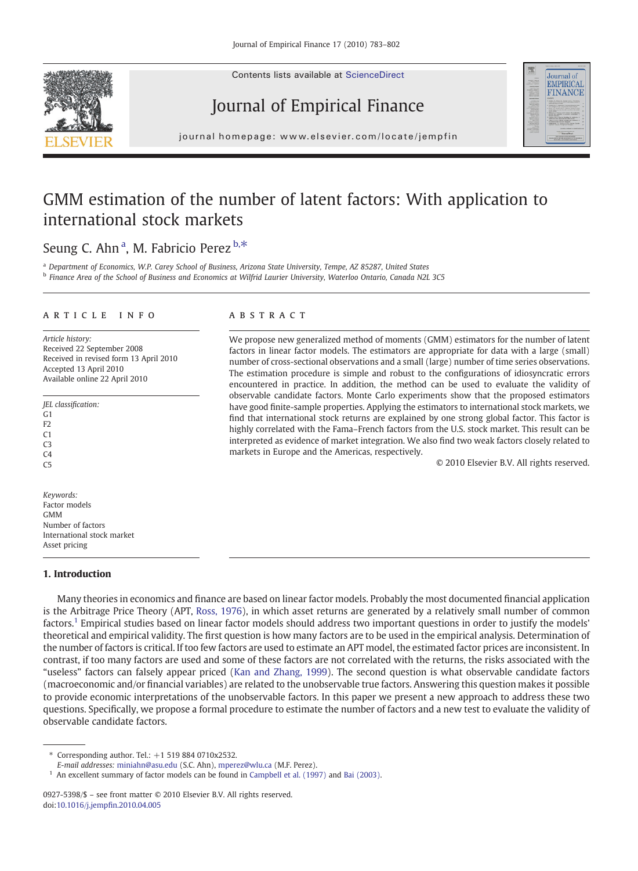Contents lists available at ScienceDirect







j o u r n a l h om e p a g e : www. e l s ev i e r. c om / l o c a t e / j em p f i n

## GMM estimation of the number of latent factors: With application to international stock markets

### Seung C. Ahn<sup>a</sup>, M. Fabricio Perez <sup>b,\*</sup>

<sup>a</sup> Department of Economics, W.P. Carey School of Business, Arizona State University, Tempe, AZ 85287, United States <sup>b</sup> Finance Area of the School of Business and Economics at Wilfrid Laurier University, Waterloo Ontario, Canada N2L 3C5

#### article info abstract

Article history: Received 22 September 2008 Received in revised form 13 April 2010 Accepted 13 April 2010 Available online 22 April 2010

JEL classification:  $G<sub>1</sub>$ F2  $C<sub>1</sub>$ C3  $C<sub>4</sub>$  $C<sub>5</sub>$ 

Keywords: Factor models GMM Number of factors International stock market Asset pricing

### 1. Introduction

Many theories in economics and finance are based on linear factor models. Probably the most documented financial application is the Arbitrage Price Theory (APT, [Ross, 1976](#page--1-0)), in which asset returns are generated by a relatively small number of common factors.<sup>1</sup> Empirical studies based on linear factor models should address two important questions in order to justify the models' theoretical and empirical validity. The first question is how many factors are to be used in the empirical analysis. Determination of the number of factors is critical. If too few factors are used to estimate an APT model, the estimated factor prices are inconsistent. In contrast, if too many factors are used and some of these factors are not correlated with the returns, the risks associated with the "useless" factors can falsely appear priced ([Kan and Zhang, 1999](#page--1-0)). The second question is what observable candidate factors (macroeconomic and/or financial variables) are related to the unobservable true factors. Answering this question makes it possible to provide economic interpretations of the unobservable factors. In this paper we present a new approach to address these two questions. Specifically, we propose a formal procedure to estimate the number of factors and a new test to evaluate the validity of observable candidate factors.

⁎ Corresponding author. Tel.: +1 519 884 0710x2532.

E-mail addresses: [miniahn@asu.edu](mailto:miniahn@asu.edu) (S.C. Ahn), [mperez@wlu.ca](mailto:mperez@wlu.ca) (M.F. Perez).

We propose new generalized method of moments (GMM) estimators for the number of latent factors in linear factor models. The estimators are appropriate for data with a large (small) number of cross-sectional observations and a small (large) number of time series observations. The estimation procedure is simple and robust to the configurations of idiosyncratic errors encountered in practice. In addition, the method can be used to evaluate the validity of observable candidate factors. Monte Carlo experiments show that the proposed estimators have good finite-sample properties. Applying the estimators to international stock markets, we find that international stock returns are explained by one strong global factor. This factor is highly correlated with the Fama–French factors from the U.S. stock market. This result can be interpreted as evidence of market integration. We also find two weak factors closely related to markets in Europe and the Americas, respectively.

© 2010 Elsevier B.V. All rights reserved.

<sup>&</sup>lt;sup>1</sup> An excellent summary of factor models can be found in [Campbell et al. \(1997\)](#page--1-0) and [Bai \(2003\)](#page--1-0).

<sup>0927-5398/\$</sup> – see front matter © 2010 Elsevier B.V. All rights reserved. doi[:10.1016/j.jemp](http://dx.doi.org/10.1016/j.jempfin.2010.04.005)fin.2010.04.005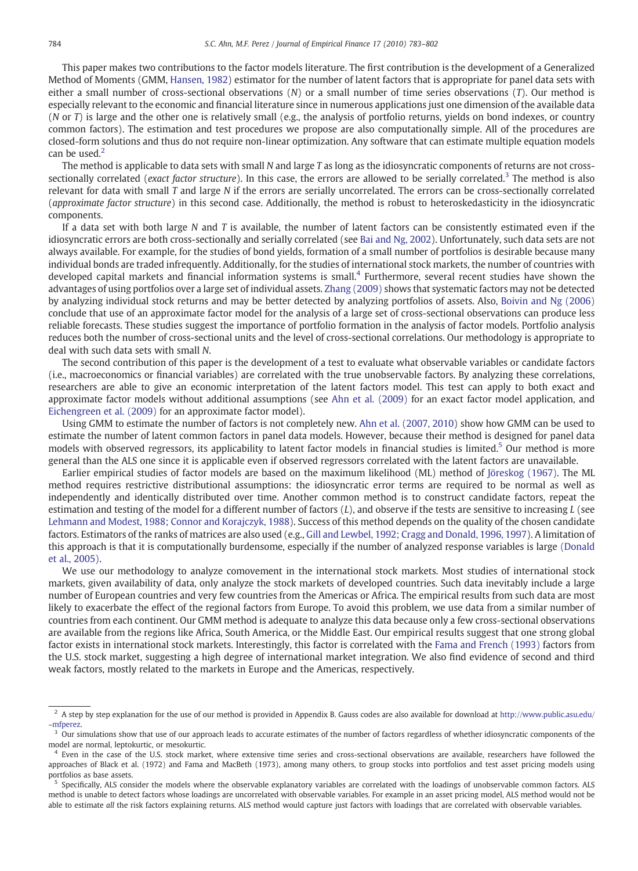This paper makes two contributions to the factor models literature. The first contribution is the development of a Generalized Method of Moments (GMM, [Hansen, 1982](#page--1-0)) estimator for the number of latent factors that is appropriate for panel data sets with either a small number of cross-sectional observations (N) or a small number of time series observations (T). Our method is especially relevant to the economic and financial literature since in numerous applications just one dimension of the available data (N or T) is large and the other one is relatively small (e.g., the analysis of portfolio returns, yields on bond indexes, or country common factors). The estimation and test procedures we propose are also computationally simple. All of the procedures are closed-form solutions and thus do not require non-linear optimization. Any software that can estimate multiple equation models can be used. $2$ 

The method is applicable to data sets with small  $N$  and large  $T$  as long as the idiosyncratic components of returns are not crosssectionally correlated (exact factor structure). In this case, the errors are allowed to be serially correlated.<sup>3</sup> The method is also relevant for data with small T and large N if the errors are serially uncorrelated. The errors can be cross-sectionally correlated (approximate factor structure) in this second case. Additionally, the method is robust to heteroskedasticity in the idiosyncratic components.

If a data set with both large N and T is available, the number of latent factors can be consistently estimated even if the idiosyncratic errors are both cross-sectionally and serially correlated (see [Bai and Ng, 2002\)](#page--1-0). Unfortunately, such data sets are not always available. For example, for the studies of bond yields, formation of a small number of portfolios is desirable because many individual bonds are traded infrequently. Additionally, for the studies of international stock markets, the number of countries with developed capital markets and financial information systems is small.<sup>4</sup> Furthermore, several recent studies have shown the advantages of using portfolios over a large set of individual assets. [Zhang \(2009\)](#page--1-0) shows that systematic factors may not be detected by analyzing individual stock returns and may be better detected by analyzing portfolios of assets. Also, [Boivin and Ng \(2006\)](#page--1-0) conclude that use of an approximate factor model for the analysis of a large set of cross-sectional observations can produce less reliable forecasts. These studies suggest the importance of portfolio formation in the analysis of factor models. Portfolio analysis reduces both the number of cross-sectional units and the level of cross-sectional correlations. Our methodology is appropriate to deal with such data sets with small N.

The second contribution of this paper is the development of a test to evaluate what observable variables or candidate factors (i.e., macroeconomics or financial variables) are correlated with the true unobservable factors. By analyzing these correlations, researchers are able to give an economic interpretation of the latent factors model. This test can apply to both exact and approximate factor models without additional assumptions (see [Ahn et al. \(2009\)](#page--1-0) for an exact factor model application, and [Eichengreen et al. \(2009\)](#page--1-0) for an approximate factor model).

Using GMM to estimate the number of factors is not completely new. [Ahn et al. \(2007, 2010](#page--1-0)) show how GMM can be used to estimate the number of latent common factors in panel data models. However, because their method is designed for panel data models with observed regressors, its applicability to latent factor models in financial studies is limited.<sup>5</sup> Our method is more general than the ALS one since it is applicable even if observed regressors correlated with the latent factors are unavailable.

Earlier empirical studies of factor models are based on the maximum likelihood (ML) method of [Jöreskog \(1967\)](#page--1-0). The ML method requires restrictive distributional assumptions: the idiosyncratic error terms are required to be normal as well as independently and identically distributed over time. Another common method is to construct candidate factors, repeat the estimation and testing of the model for a different number of factors  $(L)$ , and observe if the tests are sensitive to increasing  $L$  (see [Lehmann and Modest, 1988; Connor and Korajczyk, 1988](#page--1-0)). Success of this method depends on the quality of the chosen candidate factors. Estimators of the ranks of matrices are also used (e.g., [Gill and Lewbel, 1992; Cragg and Donald, 1996, 1997](#page--1-0)). A limitation of this approach is that it is computationally burdensome, especially if the number of analyzed response variables is large [\(Donald](#page--1-0) [et al., 2005\).](#page--1-0)

We use our methodology to analyze comovement in the international stock markets. Most studies of international stock markets, given availability of data, only analyze the stock markets of developed countries. Such data inevitably include a large number of European countries and very few countries from the Americas or Africa. The empirical results from such data are most likely to exacerbate the effect of the regional factors from Europe. To avoid this problem, we use data from a similar number of countries from each continent. Our GMM method is adequate to analyze this data because only a few cross-sectional observations are available from the regions like Africa, South America, or the Middle East. Our empirical results suggest that one strong global factor exists in international stock markets. Interestingly, this factor is correlated with the [Fama and French \(1993\)](#page--1-0) factors from the U.S. stock market, suggesting a high degree of international market integration. We also find evidence of second and third weak factors, mostly related to the markets in Europe and the Americas, respectively.

 $^2$  A step by step explanation for the use of our method is provided in Appendix B. Gauss codes are also available for download at [http://www.public.asu.edu/](http://www.public.asu.edu/~mfperez) [~mfperez.](http://www.public.asu.edu/~mfperez)

 $3$  Our simulations show that use of our approach leads to accurate estimates of the number of factors regardless of whether idiosyncratic components of the model are normal, leptokurtic, or mesokurtic.

Even in the case of the U.S. stock market, where extensive time series and cross-sectional observations are available, researchers have followed the approaches of Black et al. (1972) and Fama and MacBeth (1973), among many others, to group stocks into portfolios and test asset pricing models using portfolios as base assets.

<sup>&</sup>lt;sup>5</sup> Specifically, ALS consider the models where the observable explanatory variables are correlated with the loadings of unobservable common factors. ALS method is unable to detect factors whose loadings are uncorrelated with observable variables. For example in an asset pricing model, ALS method would not be able to estimate all the risk factors explaining returns. ALS method would capture just factors with loadings that are correlated with observable variables.